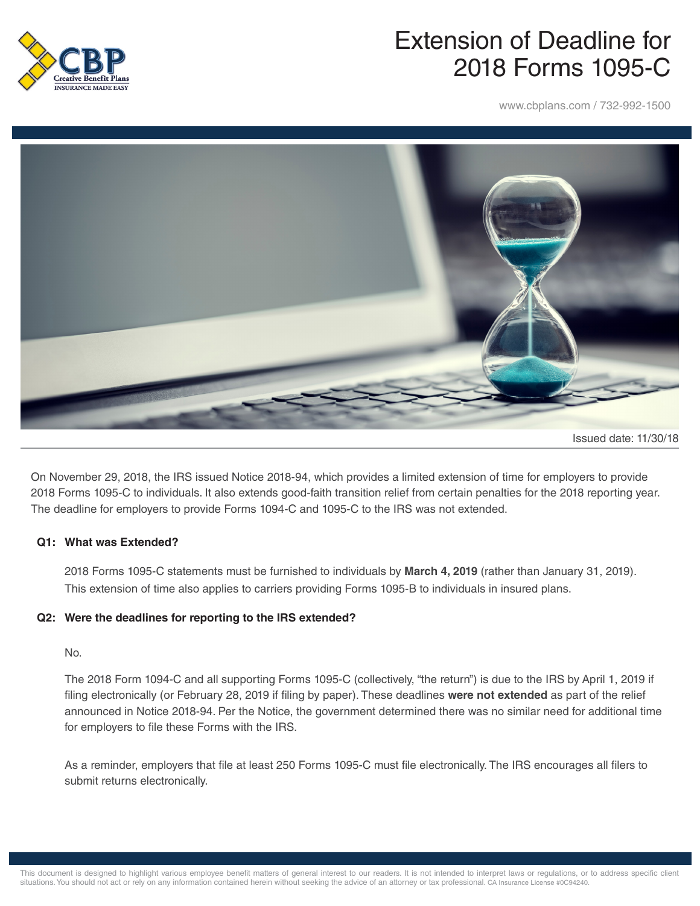

# Extension of Deadline for 2018 Forms 1095-C

www.cbplans.com / 732-992-1500



On November 29, 2018, the IRS issued Notice 2018-94, which provides a limited extension of time for employers to provide 2018 Forms 1095-C to individuals. It also extends good-faith transition relief from certain penalties for the 2018 reporting year. The deadline for employers to provide Forms 1094-C and 1095-C to the IRS was not extended.

#### **Q1: What was Extended?**

2018 Forms 1095-C statements must be furnished to individuals by **March 4, 2019** (rather than January 31, 2019). This extension of time also applies to carriers providing Forms 1095-B to individuals in insured plans.

## **Q2: Were the deadlines for reporting to the IRS extended?**

#### No.

The 2018 Form 1094-C and all supporting Forms 1095-C (collectively, "the return") is due to the IRS by April 1, 2019 if filing electronically (or February 28, 2019 if filing by paper). These deadlines **were not extended** as part of the relief announced in Notice 2018-94. Per the Notice, the government determined there was no similar need for additional time for employers to file these Forms with the IRS.

As a reminder, employers that file at least 250 Forms 1095-C must file electronically. The IRS encourages all filers to submit returns electronically.